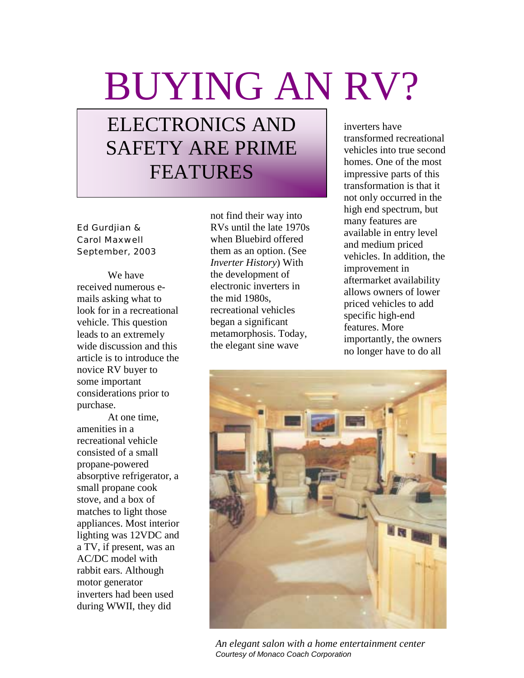## BUYING AN RV?

## ELECTRONICS AND SAFETY ARE PRIME FEATURES

Ed Gurdjian & Carol Maxwell September, 2003

We have received numerous emails asking what to look for in a recreational vehicle. This question leads to an extremely wide discussion and this article is to introduce the novice RV buyer to some important considerations prior to purchase.

At one time, amenities in a recreational vehicle consisted of a small propane-powered absorptive refrigerator, a small propane cook stove, and a box of matches to light those appliances. Most interior lighting was 12VDC and a TV, if present, was an AC/DC model with rabbit ears. Although motor generator inverters had been used during WWII, they did

not find their way into RVs until the late 1970s when Bluebird offered them as an option. (See *Inverter History*) With the development of electronic inverters in the mid 1980s, recreational vehicles began a significant metamorphosis. Today, the elegant sine wave

inverters have transformed recreational vehicles into true second homes. One of the most impressive parts of this transformation is that it not only occurred in the high end spectrum, but many features are available in entry level and medium priced vehicles. In addition, the improvement in aftermarket availability allows owners of lower priced vehicles to add specific high-end features. More importantly, the owners no longer have to do all



*An elegant salon with a home entertainment center Courtesy of Monaco Coach Corporation*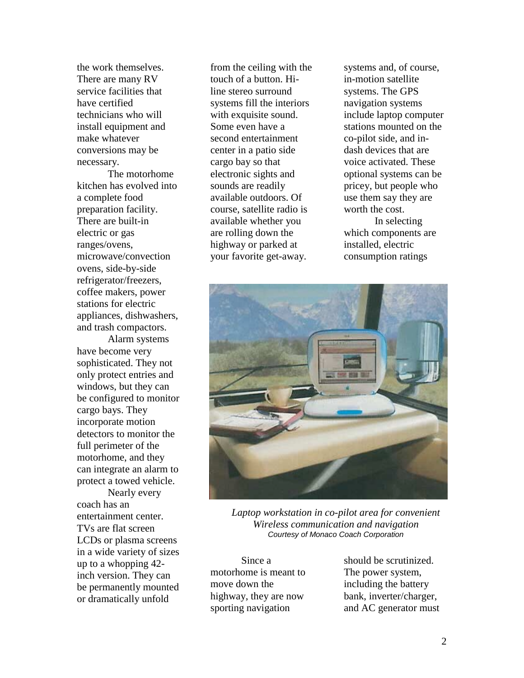the work themselves. There are many RV service facilities that have certified technicians who will install equipment and make whatever conversions may be necessary.

The motorhome kitchen has evolved into a complete food preparation facility. There are built-in electric or gas ranges/ovens, microwave/convection ovens, side-by-side refrigerator/freezers, coffee makers, power stations for electric appliances, dishwashers, and trash compactors.

Alarm systems have become very sophisticated. They not only protect entries and windows, but they can be configured to monitor cargo bays. They incorporate motion detectors to monitor the full perimeter of the motorhome, and they can integrate an alarm to protect a towed vehicle.

Nearly every coach has an entertainment center. TVs are flat screen LCDs or plasma screens in a wide variety of sizes up to a whopping 42 inch version. They can be permanently mounted or dramatically unfold

from the ceiling with the touch of a button. Hiline stereo surround systems fill the interiors with exquisite sound. Some even have a second entertainment center in a patio side cargo bay so that electronic sights and sounds are readily available outdoors. Of course, satellite radio is available whether you are rolling down the highway or parked at your favorite get-away.

systems and, of course, in-motion satellite systems. The GPS navigation systems include laptop computer stations mounted on the co-pilot side, and indash devices that are voice activated. These optional systems can be pricey, but people who use them say they are worth the cost. In selecting

which components are installed, electric consumption ratings



*Laptop workstation in co-pilot area for convenient Wireless communication and navigation Courtesy of Monaco Coach Corporation*

Since a motorhome is meant to move down the highway, they are now sporting navigation

should be scrutinized. The power system, including the battery bank, inverter/charger, and AC generator must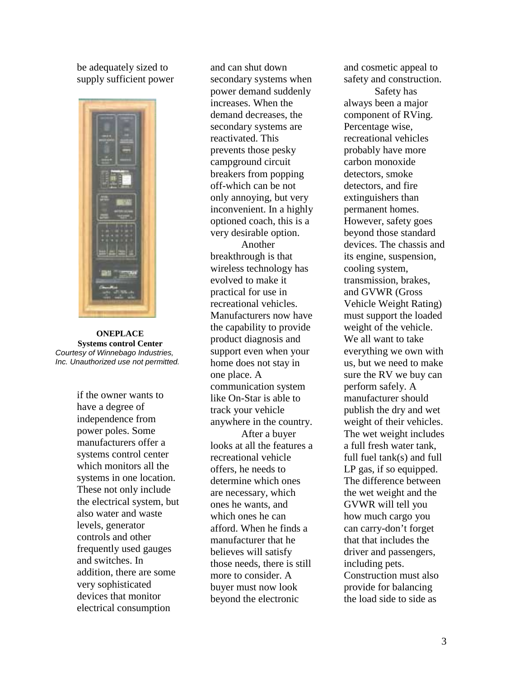be adequately sized to supply sufficient power



**ONEPLACE Systems control Center** *Courtesy of Winnebago Industries, Inc. Unauthorized use not permitted.*

if the owner wants to have a degree of independence from power poles. Some manufacturers offer a systems control center which monitors all the systems in one location. These not only include the electrical system, but also water and waste levels, generator controls and other frequently used gauges and switches. In addition, there are some very sophisticated devices that monitor electrical consumption

and can shut down secondary systems when power demand suddenly increases. When the demand decreases, the secondary systems are reactivated. This prevents those pesky campground circuit breakers from popping off-which can be not only annoying, but very inconvenient. In a highly optioned coach, this is a very desirable option.

Another breakthrough is that wireless technology has evolved to make it practical for use in recreational vehicles. Manufacturers now have the capability to provide product diagnosis and support even when your home does not stay in one place. A communication system like On-Star is able to track your vehicle anywhere in the country. After a buyer looks at all the features a recreational vehicle offers, he needs to determine which ones are necessary, which ones he wants, and which ones he can afford. When he finds a manufacturer that he believes will satisfy those needs, there is still more to consider. A buyer must now look beyond the electronic

and cosmetic appeal to safety and construction. Safety has always been a major component of RVing. Percentage wise, recreational vehicles probably have more carbon monoxide detectors, smoke detectors, and fire extinguishers than permanent homes. However, safety goes beyond those standard devices. The chassis and its engine, suspension, cooling system, transmission, brakes, and GVWR (Gross Vehicle Weight Rating) must support the loaded weight of the vehicle. We all want to take everything we own with us, but we need to make sure the RV we buy can perform safely. A manufacturer should publish the dry and wet weight of their vehicles. The wet weight includes a full fresh water tank, full fuel tank(s) and full LP gas, if so equipped. The difference between the wet weight and the GVWR will tell you how much cargo you can carry-don't forget that that includes the driver and passengers, including pets. Construction must also provide for balancing the load side to side as